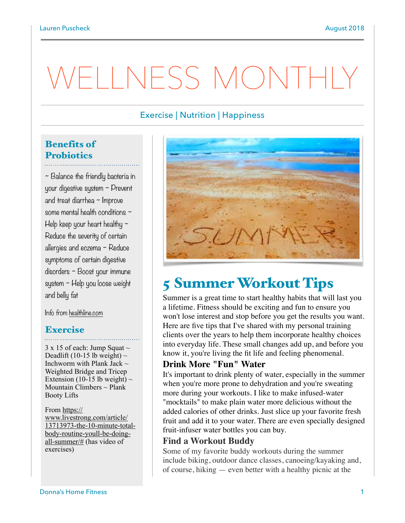# VELLNESS MONTHI

### Exercise | Nutrition | Happiness

# Benefits of **Probiotics**

~ Balance the friendly bacteria in your digestive system ~ Prevent and treat diarrhea ~ Improve some mental health conditions ~ Help keep your heart healthy  $\sim$ Reduce the severity of certain allergies and eczema ~ Reduce symptoms of certain digestive disorders ~ Boost your immune system ~ Help you loose weight and belly fat

Info from [healthline.com](http://healthline.com)

#### Exercise

 $3 \times 15$  of each: Jump Squat  $\sim$ Deadlift (10-15 lb weight)  $\sim$ Inchworm with Plank Jack  $\sim$ Weighted Bridge and Tricep Extension (10-15 lb weight)  $\sim$ Mountain Climbers  $\sim$  Plank Booty Lifts

From https:// www.livestrong.com/article/ [13713973-the-10-minute-total](https://www.livestrong.com/article/13713973-the-10-minute-total-body-routine-youll-be-doing-all-summer/#)body-routine-youll-be-doingall-summer/# (has video of exercises)



# 5 Summer Workout Tips

Summer is a great time to [start healthy habits](https://www.livestrong.com/slideshow/1011188-8-habits-highly-fit-people/) that will last you a lifetime. Fitness should be exciting and fun to ensure you won't lose interest and stop before you get the results you want. Here are five tips that I've shared with my personal training clients over the years to help them incorporate healthy choices into everyday life. These [small changes add up](https://www.livestrong.com/slideshow/549121-small-diet-changes-that-yield-big-results/), and before you know it, you're living the fit life and feeling phenomenal.

#### **Drink More "Fun" Water**

It's important to drink plenty of water, especially in the summer when you're more prone to dehydration and you're sweating more during your workouts. I like to make infused-water "mocktails" to make plain water more delicious without the added calories of other drinks. Just slice up your favorite fresh fruit and add it to your water. There are even specially designed fruit-infuser water bottles you can buy.

#### **Find a Workout Buddy**

Some of my favorite buddy workouts during the summer include biking, outdoor dance classes, canoeing/kayaking and, of course, hiking — even better with a healthy picnic at the